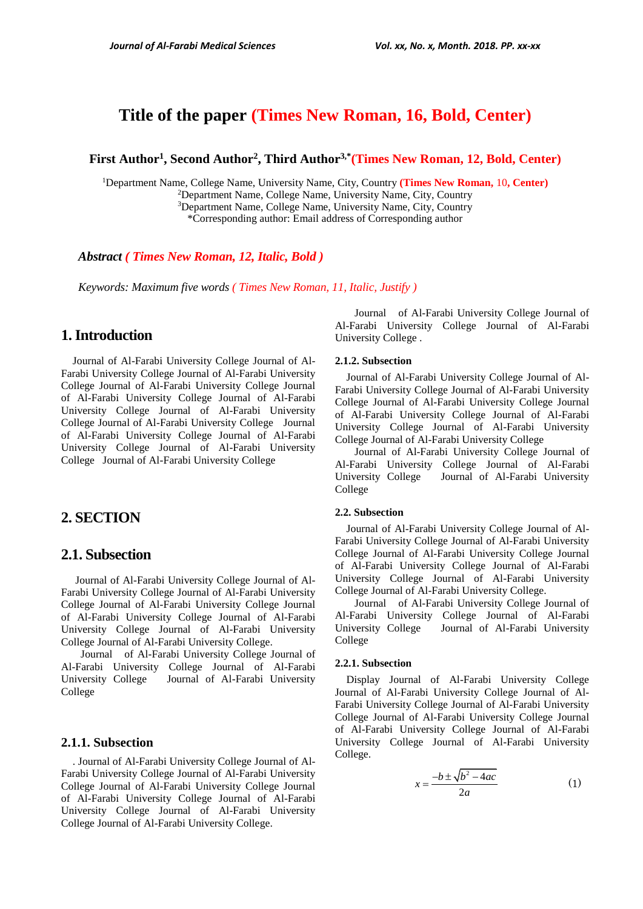# **Title of the paper (Times New Roman, 16, Bold, Center)**

**First Author<sup>1</sup> , Second Author<sup>2</sup> , Third Author3,\*(Times New Roman, 12, Bold, Center)**

Department Name, College Name, University Name, City, Country **(Times New Roman,** 10**, Center)** Department Name, College Name, University Name, City, Country Department Name, College Name, University Name, City, Country \*Corresponding author: Email address of Corresponding author

*Abstract ( Times New Roman, 12, Italic, Bold )*

*Keywords: Maximum five words ( Times New Roman, 11, Italic, Justify )*

## **1.Introduction**

Journal of Al-Farabi University College Journal of Al-Farabi University College Journal of Al-Farabi University College Journal of Al-Farabi University College Journal of Al-Farabi University College Journal of Al-Farabi University College Journal of Al-Farabi University College Journal of Al-Farabi University College Journal of Al-Farabi University College Journal of Al-Farabi University College Journal of Al-Farabi University College Journal of Al-Farabi University College

## **2. SECTION**

### **2.1. Subsection**

Journal of Al-Farabi University College Journal of Al-Farabi University College Journal of Al-Farabi University College Journal of Al-Farabi University College Journal of Al-Farabi University College Journal of Al-Farabi University College Journal of Al-Farabi University College Journal of Al-Farabi University College.

 Journal of Al-Farabi University College Journal of Al-Farabi University College Journal of Al-Farabi University College Journal of Al-Farabi University College

### **2.1.1. Subsection**

. Journal of Al-Farabi University College Journal of Al-Farabi University College Journal of Al-Farabi University College Journal of Al-Farabi University College Journal of Al-Farabi University College Journal of Al-Farabi University College Journal of Al-Farabi University College Journal of Al-Farabi University College.

 Journal of Al-Farabi University College Journal of Al-Farabi University College Journal of Al-Farabi University College .

### **2.1.2. Subsection**

Journal of Al-Farabi University College Journal of Al-Farabi University College Journal of Al-Farabi University College Journal of Al-Farabi University College Journal of Al-Farabi University College Journal of Al-Farabi University College Journal of Al-Farabi University College Journal of Al-Farabi University College

 Journal of Al-Farabi University College Journal of Al-Farabi University College Journal of Al-Farabi University College Journal of Al-Farabi University College

#### **2.2. Subsection**

Journal of Al-Farabi University College Journal of Al-Farabi University College Journal of Al-Farabi University College Journal of Al-Farabi University College Journal of Al-Farabi University College Journal of Al-Farabi University College Journal of Al-Farabi University College Journal of Al-Farabi University College.

 Journal of Al-Farabi University College Journal of Al-Farabi University College Journal of Al-Farabi University College Journal of Al-Farabi University College

#### **2.2.1. Subsection**

Display Journal of Al-Farabi University College Journal of Al-Farabi University College Journal of Al-Farabi University College Journal of Al-Farabi University College Journal of Al-Farabi University College Journal of Al-Farabi University College Journal of Al-Farabi University College Journal of Al-Farabi University College.

$$
x = \frac{-b \pm \sqrt{b^2 - 4ac}}{2a} \tag{1}
$$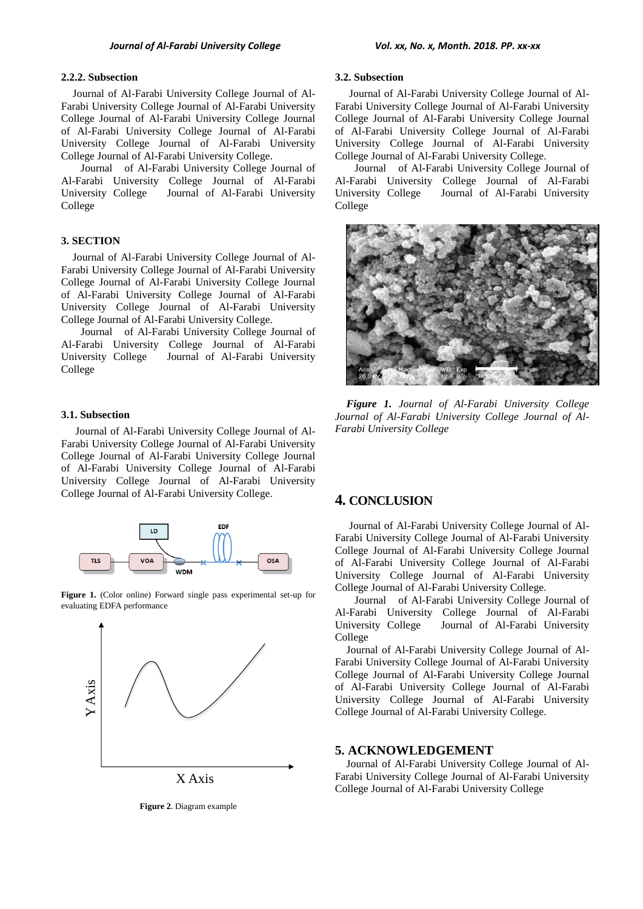#### **2.2.2. Subsection**

Journal of Al-Farabi University College Journal of Al-Farabi University College Journal of Al-Farabi University College Journal of Al-Farabi University College Journal of Al-Farabi University College Journal of Al-Farabi University College Journal of Al-Farabi University College Journal of Al-Farabi University College.

 Journal of Al-Farabi University College Journal of Al-Farabi University College Journal of Al-Farabi University College Journal of Al-Farabi University College

### **3. SECTION**

Journal of Al-Farabi University College Journal of Al-Farabi University College Journal of Al-Farabi University College Journal of Al-Farabi University College Journal of Al-Farabi University College Journal of Al-Farabi University College Journal of Al-Farabi University College Journal of Al-Farabi University College.

 Journal of Al-Farabi University College Journal of Al-Farabi University College Journal of Al-Farabi University College Journal of Al-Farabi University College

#### **3.1. Subsection**

Journal of Al-Farabi University College Journal of Al-Farabi University College Journal of Al-Farabi University College Journal of Al-Farabi University College Journal of Al-Farabi University College Journal of Al-Farabi University College Journal of Al-Farabi University College Journal of Al-Farabi University College.



**Figure 1.** (Color online) Forward single pass experimental set-up for evaluating EDFA performance



**Figure 2**. Diagram example

#### **3.2. Subsection**

Journal of Al-Farabi University College Journal of Al-Farabi University College Journal of Al-Farabi University College Journal of Al-Farabi University College Journal of Al-Farabi University College Journal of Al-Farabi University College Journal of Al-Farabi University College Journal of Al-Farabi University College.

 Journal of Al-Farabi University College Journal of Al-Farabi University College Journal of Al-Farabi University College Journal of Al-Farabi University College



*Figure 1. Journal of Al-Farabi University College Journal of Al-Farabi University College Journal of Al-Farabi University College*

### **4. CONCLUSION**

Journal of Al-Farabi University College Journal of Al-Farabi University College Journal of Al-Farabi University College Journal of Al-Farabi University College Journal of Al-Farabi University College Journal of Al-Farabi University College Journal of Al-Farabi University College Journal of Al-Farabi University College.

 Journal of Al-Farabi University College Journal of Al-Farabi University College Journal of Al-Farabi University College Journal of Al-Farabi University College

Journal of Al-Farabi University College Journal of Al-Farabi University College Journal of Al-Farabi University College Journal of Al-Farabi University College Journal of Al-Farabi University College Journal of Al-Farabi University College Journal of Al-Farabi University College Journal of Al-Farabi University College.

### **5. ACKNOWLEDGEMENT**

Journal of Al-Farabi University College Journal of Al-Farabi University College Journal of Al-Farabi University College Journal of Al-Farabi University College